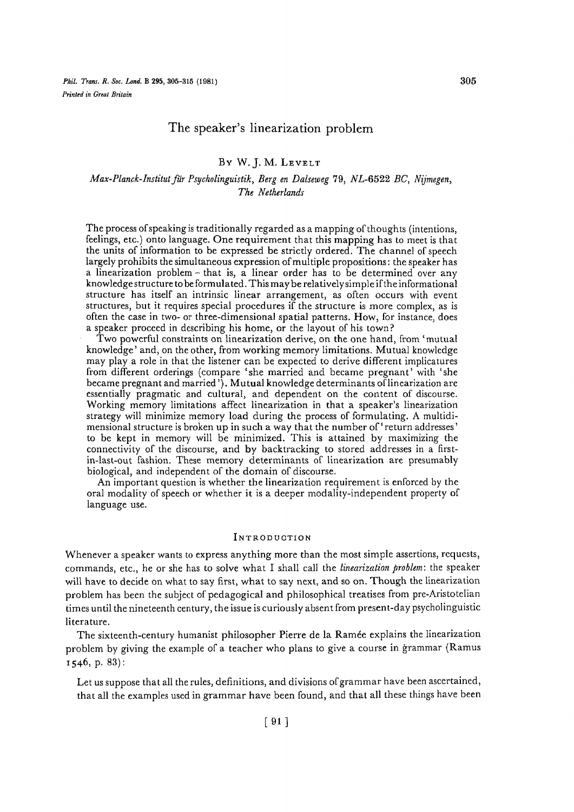# The speaker's linearization problem

### **B y W. J. M. L evelt**

## *Max-Planck-Institut fü r Psycholinguistik*, *Berg en Dalseuieg* 79, *N L -6522 BC, Nijmegen, The Netherlands*

The process of speaking is traditionally regarded as a mapping of thoughts (intentions, feelings, etc.) onto language. One requirement that this mapping has to meet is that the units of information to be expressed be strictly ordered. The channel of speech largely prohibits the simultaneous expression of multiple propositions: the speaker has a linearization problem - that is, a linear order has to be determined over any knowledge structure to be form ulated. T his m ayb e relatively simple if the informational structure has itself an intrinsic linear arrangement, as often occurs with event structures, but it requires special procedures if the structure is more complex, as is often the case in two- or three-dimensional spatial patterns. How, for instance, does a speaker proceed in describing his home, or the layout of his town?

Two powerful constraints on linearization derive, on the one hand, from 'mutual knowledge' and, on the other, from working memory limitations. Mutual knowledge may play a role in that the listener can be expected to derive different implicatures from different orderings (compare 'she married and became pregnant' with 'she became pregnant and married'). Mutual knowledge determinants of linearization are essentially pragmatic and cultural, and dependent on the content of discourse. Working memory limitations affect linearization in that a speaker's linearization strategy will minimize memory load during the process of formulating. A multidimensional structure is broken up in such a way that the number of 'return addresses' to be kept in memory will be minimized. This is attained by maximizing the connectivity of the discourse, and by backtracking to stored addresses in a firstin-last-out fashion. These memory determinants of linearization are presumably biological, and independent of the domain of discourse.

An important question is whether the linearization requirement is enforced by the oral modality of speech or whether it is a deeper modality-independent property of language use.

#### INTRODUCTION

Whenever a speaker wants to express anything more than the most simple assertions, requests, commands, etc., he or she has to solve w h at I shall call the *linearization problem-,* the speaker will have to decide on what to say first, what to say next, and so on. Though the linearization problem has been the subject of pedagogical and philosophical treatises from pre-Aristotelian times until the nineteenth century, the issue is curiously absent from present-day psycholinguistic literature.

The sixteenth-century humanist philosopher Pierre de la Ramée explains the linearization problem by giving the example of a teacher who plans to give a course in grammar (Ramus 1546, p. 83):

Let us suppose that all the rules, definitions, and divisions of grammar have been ascertained, that all the examples used in grammar have been found, and that all these things have been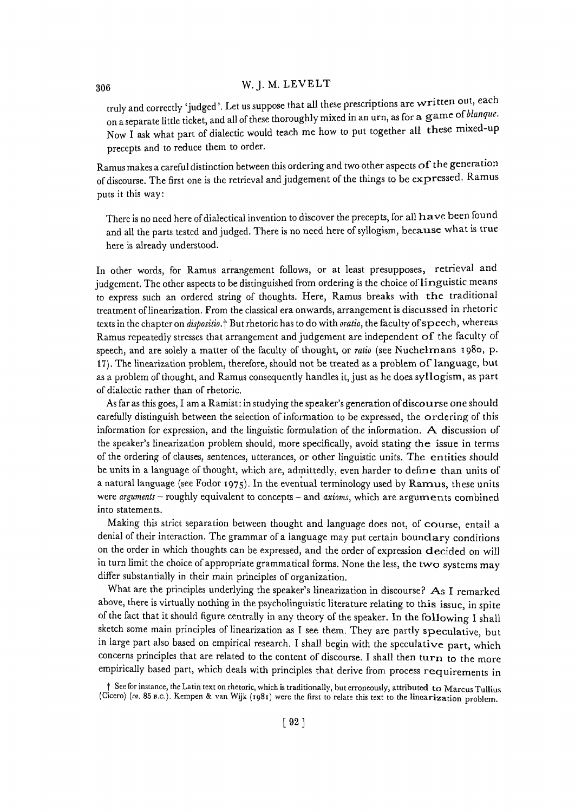# **306** W. J. M. LEVELT

truly and correctly 'judged'. Let us suppose that all these prescriptions are written out, each on a separate little ticket, and all of these thoroughly mixed in an urn, as for a game of *blanque*. Now I ask what part of dialectic would teach me how to put together all these mixed-up precepts and to reduce them to order.

Ramus makes a careful distinction between this ordering and two other aspects of the generation of discourse. The first one is the retrieval and judgement of the things to be expressed. Ramus puts it this way:

There is no need here of dialectical invention to discover the precepts, for all  $h$  ave been found and all the parts tested and judged. There is no need here of syllogism, because what is true here is already understood.

In other words, for Ramus arrangement follows, or at least presupposes, retrieval and judgement. The other aspects to be distinguished from ordering is the choice of linguistic means to express such an ordered string of thoughts. Here, Ramus breaks with the traditional treatment of linearization. From the classical era onwards, arrangement is discussed in rhetoric texts in the chapter on *dispositio*,<sup>†</sup> But rhetoric has to do with *oratio*, the faculty of speech, whereas Ramus repeatedly stresses that arrangement and judgement are independent of the faculty of speech, and are solely a matter of the faculty of thought, or *ratio* (see Nuchelmans 1980, p. 17). The linearization problem, therefore, should not be treated as a problem of language, but as a problem of thought, and Ramus consequently handles it, just as he does syllogism, as part of dialectic rather than of rhetoric.

As far as this goes, I am a Ramist: in studying the speaker's generation of discourse one should carefully distinguish between the selection of information to be expressed, the ordering of this information for expression, and the linguistic formulation of the information. A discussion of the speaker's linearization problem should, more specifically, avoid stating the issue in terms of the ordering of clauses, sentences, utterances, or other linguistic units. The entities should be units in a language of thought, which are, admittedly, even harder to define than units of a natural language (see Fodor 1975). In the eventual terminology used by Ramus, these units were *arguments* - roughly equivalent to concepts - and *axioms*, which are arguments combined into statements.

Making this strict separation between thought and language does not, of course, entail a denial of their interaction. The grammar of a language may put certain boundary conditions on the order in which thoughts can be expressed, and the order of expression decided on will in turn limit the choice of appropriate grammatical forms. None the less, the two systems may differ substantially in their main principles of organization.

What are the principles underlying the speaker's linearization in discourse? As I remarked above, there is virtually nothing in the psycholinguistic literature relating to this issue, in spite of the fact that it should figure centrally in any theory of the speaker. In the following I shall sketch some main principles of linearization as I see them. They are partly speculative, but in large part also based on empirical research. I shall begin with the speculative part, which concerns principles that are related to the content of discourse. I shall then turn to the more empirically based part, which deals with principles that derive from process requirements in

† See for instance, the Latin text on rhetoric, which is traditionally, but erroneously, attributed to Marcus Tullius (Cicero) (ca. 85 B.C.). Kempen & van Wijk (1981) were the first to relate this text to the linearization problem.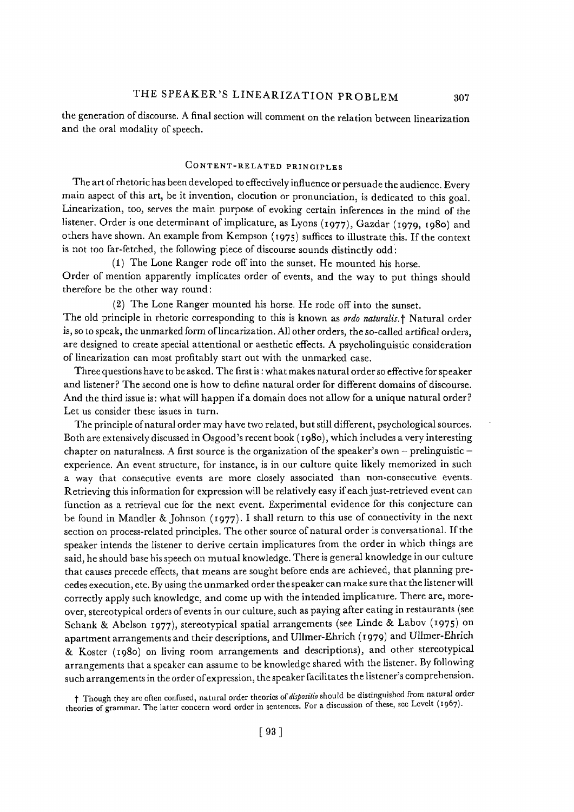the generation of discourse. A final section will comment on the relation between linearization and the oral modality of speech.

## CONTENT-RELATED PRINCIPLES

The art of rhetoric has been developed to effectively influence or persuade the audience. Every main aspect of this art, be it invention, elocution or pronunciation, is dedicated to this goal. Linearization, too, serves the main purpose of evoking certain inferences in the mind of the listener. Order is one determinant of implicature, as Lyons (1977), Gazdar (1979, 1980) and others have shown. An example from Kempson (1975) suffices to illustrate this. If the context is not too far-fetched, the following piece of discourse sounds distinctly odd:

(1) The Lone Ranger rode off into the sunset. He mounted his horse. Order of mention apparently implicates order of events, and the way to put things should therefore be the other way round:

(2) The Lone Ranger mounted his horse. He rode off into the sunset. The old principle in rhetoric corresponding to this is known as *ordo naturalis*.<sup>†</sup> Natural order is, so to speak, the unmarked form of linearization. All other orders, the so-called artifical orders, are designed to create special attentional or aesthetic effects. A psycholinguistic consideration of linearization can most profitably start out with the unmarked case.

Three questions have to be asked. The first is: what makes natural order so effective for speaker and listener? The second one is how to define natural order for different domains of discourse. And the third issue is: what will happen if a domain does not allow for a unique natural order? Let us consider these issues in turn.

The principle of natural order may have two related, but still different, psychological sources. Both are extensively discussed in Osgood's recent book (1980), which includes a very interesting chapter on naturalness. A first source is the organization of the speaker's own – prelinguistic – experience. An event structure, for instance, is in our culture quite likely memorized in such a way that consecutive events are more closely associated than non-consecutive events. Retrieving this information for expression will be relatively easy if each just-retrieved event can function as a retrieval cue for the next event. Experimental evidence for this conjecture can be found in Mandler & Johnson (1977). I shall return to this use of connectivity in the next section on process-related principles. The other source of natural order is conversational. If the speaker intends the listener to derive certain implicatures from the order in which things are said, he should base his speech on mutual knowledge. There is general knowledge in our culture that causes precede effects, that means are sought before ends are achieved, that planning precedes execution, etc. By using the unmarked order the speaker can make sure that the listener will correctly apply such knowledge, and come up with the intended im plicature. There are, moreover, stereotypical orders of events in our culture, such as paying after eating in restaurants (see Schank & Abelson 1977), stereotypical spatial arrangements (see Linde & Labov **(1975) on** apartment arrangements and their descriptions, and Ullmer-Ehrich (1979) and Ullmer-Ehrich & Koster (1980) on living room arrangements and descriptions), and other stereotypical arrangements that a speaker can assume to be knowledge shared with the listener. By following such arrangements in the order of expression, the speaker facilitates the listener's comprehension.

t Though they are often confused, natural order theories of *dispositio* should be distinguished from natural order theories of grammar. The latter concern word order in sentences. For a discussion of these, see Levelt (1967).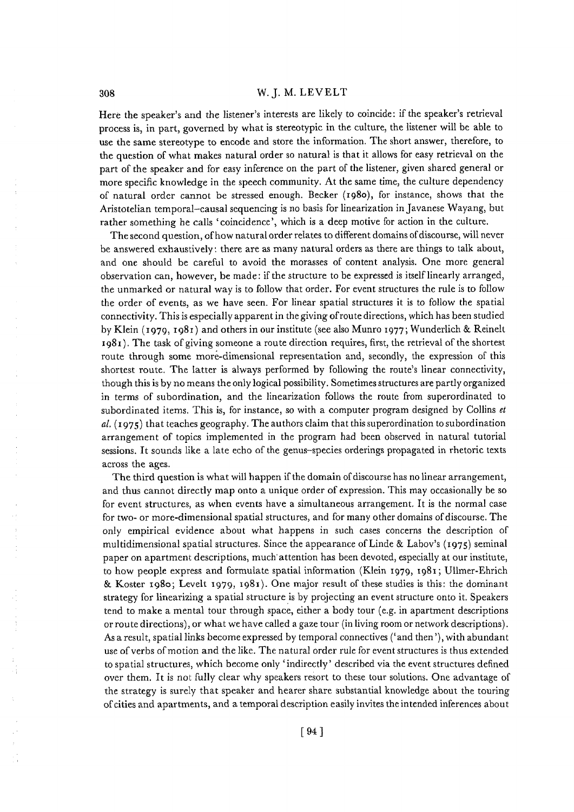### 308 W. J. M. LEVELT

Here the speaker's and the listener's interests are likely to coincide: if the speaker's retrieval process is, in part, governed by what is stereotypic in the culture, the listener will be able to use the same stereotype to encode and store the information. The short answer, therefore, to the question of what makes natural order so natural is that it allows for easy retrieval on the part of the speaker and for easy inference on the part of the listener, given shared general or more specific knowledge in the speech community. A t the same time, the culture dependency of natural order cannot be stressed enough. Becker (1980), for instance, shows that the Aristotelian temporal-causal sequencing is no basis for linearization in Javanese Wayang, but rather something he calls 'coincidence', which is a deep motive for action in the culture.

The second question, of how natural order relates to different domains of discourse, will never be answered exhaustively: there are as many natural orders as there are things to talk about, and one should be careful to avoid the morasses of content analysis. One more general observation can, however, be made: if the structure to be expressed is itself linearly arranged, the unmarked or natural way is to follow that order. For event structures the rule is to follow the order of events, as we have seen. For linear spatial structures it is to follow the spatial connectivity. This is especially apparent in the giving of route directions, which has been studied by K lein (1979, 1981) and others in our institute (see also Munro 1977; Wunderlich & Reinelt 1981). The task of giving someone a route direction requires, first, the retrieval of the shortest route through some more-dimensional representation and, secondly, the expression of this shortest route. The latter is always performed by following the route's linear connectivity, though this is by no means the only logical possibility. Sometimes structures are partly organized in terms of subordination, and the linearization follows the route from superordinated to subordinated items. This is, for instance, so with a computer program designed by Collins *et a l* (1975) that teaches geography. The authors claim that this superordination to subordination arrangement of topics implemented in the program had been observed in natural tutorial sessions. It sounds like a late echo of the genus-species orderings propagated in rhetoric texts across the ages.

The third question is what will happen if the domain of discourse has no linear arrangement, and thus cannot directly map onto a unique order of expression. This may occasionally be so for event structures, as when events have a simultaneous arrangement. It is the normal case for two- or more-dimensional spatial structures, and for many other domains of discourse. The only em pirical evidence about what happens in such cases concerns the description of multidimensional spatial structures. Since the appearance of Linde & Labov's (1975) seminal paper on apartment descriptions, much attention has been devoted, especially at our institute, to how people express and formulate spatial information (Klein 1979, 1981; Ullmer-Ehrich & Koster 1980; Levelt 1979, 1981). One major result of these studies is this: the dominant strategy for linearizing a spatial structure is by projecting an event structure onto it. Speakers tend to make a mental tour through space, either a body tour (e.g. in apartment descriptions or route directions), or what we have called a gaze tour (in living room or network descriptions). As a result, spatial links become expressed by temporal connectives (' and then'), with abundant use of verbs of motion and the like. The natural order rule for event structures is thus extended to spatial structures, w hich become only ' indirectly' described via the event structures defined over them. It is not fully clear why speakers resort to these tour solutions. One advantage of the strategy is surely that speaker and hearer share substantial knowledge about the touring of cities and apartments, and a temporal description easily invites the intended inferences about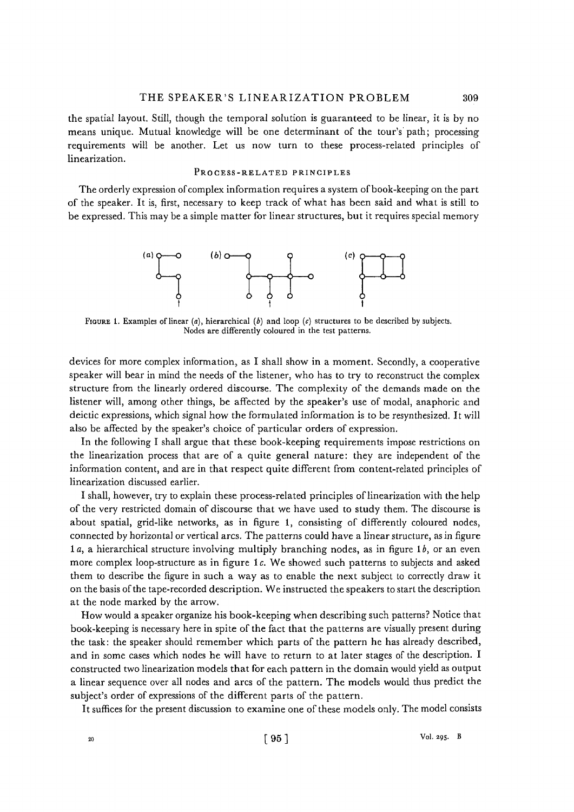the spatial layout. Still, though the tem poral solution is guaranteed to be linear, it is by no means unique. Mutual knowledge will be one determinant of the tour's path; processing requirements will be another. Let us now turn to these process-related principles of linearization.

#### PROCESS-RELATED PRINCIPLES

The orderly expression of complex information requires a system of book-keeping on the part of the speaker. It is, first, necessary to keep track of what has been said and what is still to be expressed. This may be a simple matter for linear structures, but it requires special memory



FIGURE 1. Examples of linear (a), hierarchical (b) and loop (c) structures to be described by subjects. Nodes are differently coloured in the test patterns.

devices for more complex information, as I shall show in a moment. Secondly, a cooperative speaker will bear in mind the needs of the listener, who has to try to reconstruct the complex structure from the linearly ordered discourse. The complexity of the demands made on the listener will, among other things, be affected by the speaker's use of modal, anaphoric and deictic expressions, which signal how the formulated information is to be resynthesized. It will also be affected by the speaker's choice of particular orders of expression.

In the following I shall argue that these book-keeping requirements impose restrictions on the linearization process that are of a quite general nature: they are independent of the information content, and are in that respect quite different from content-related principles of linearization discussed earlier.

I shall, however, try to explain these process-related principles of linearization with the help of the very restricted domain of discourse that we have used to study them. The discourse is about spatial, grid-like networks, as in figure  $1$ , consisting of differently coloured nodes, connected by horizontal or vertical arcs. The patterns could have a linear structure, as in figure 1*a*, a hierarchical structure involving multiply branching nodes, as in figure 1*b*, or an even more complex loop-structure as in figure 1c. We showed such patterns to subjects and asked them to describe the figure in such a way as to enable the next subject to correctly draw it on the basis of the tape-recorded description. W e instructed the speakers to start the description at the node marked by the arrow.

How would a speaker organize his book-keeping when describing such patterns? Notice that book-keeping is necessary here in spite of the fact that the patterns are visually present during the task: the speaker should remember which parts of the pattern he has already described, and in some cases which nodes he will have to return to at later stages of the description. I constructed two linearization models that for each pattern in the domain would yield as output a linear sequence over all nodes and arcs of the pattern. The models would thus predict the subject's order of expressions of the different parts of the pattern.

It suffices for the present discussion to examine one of these models only. The model consists

20  $[95]$  Vol. 295. B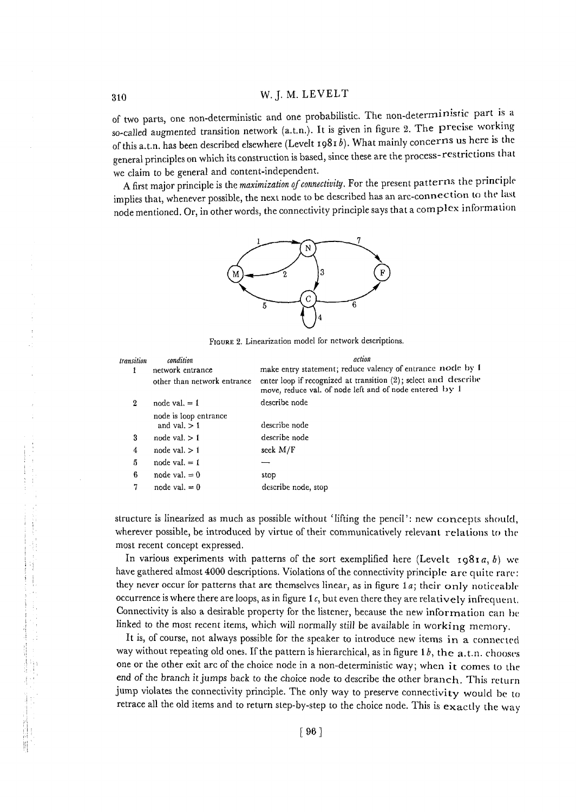of two parts, one non-deterministic and one probabilistic. The non-deterministic part is a so-called augmented transition network (a.t.n.). It is given in figure 2. The precise working of this a.t.n. has been described elsewhere (Levelt 1981b). What mainly concerris us here is the general principles on which its construction is based, since these are the process-restrictions that we claim to be general and content-independent.

A first major principle is the *maximization of connectivity*. For the present patterns the principle implies that, whenever possible, the next node to be described has an arc-connection to the last node mentioned. Or, in other words, the connectivity principle says that a complex information



FIGURE 2. Linearization model for network descriptions.

| transition | condition<br>network entrance<br>other than network entrance | action<br>make entry statement; reduce valency of entrance node by 1<br>enter loop if recognized at transition (2); select and describe<br>move, reduce val. of node left and of node entered by 1 |
|------------|--------------------------------------------------------------|----------------------------------------------------------------------------------------------------------------------------------------------------------------------------------------------------|
| 2          | node val. $= 1$                                              | describe node                                                                                                                                                                                      |
|            | node is loop entrance<br>and val. $> 1$                      | describe node                                                                                                                                                                                      |
| 3          | node val. $> 1$                                              | describe node                                                                                                                                                                                      |
| 4          | node val. $>1$                                               | seek $M/F$                                                                                                                                                                                         |
| 5          | node val. $= 1$                                              |                                                                                                                                                                                                    |
| 6          | node val. $= 0$                                              | stop                                                                                                                                                                                               |
| 7          | node val. $= 0$                                              | describe node, stop                                                                                                                                                                                |

structure is linearized as much as possible without 'lifting the pencil': new concepts should, wherever possible, be introduced by virtue of their communicatively relevant relations to the most recent concept expressed.

In various experiments with patterns of the sort exemplified here (Levelt  $1981a, b$ ) we have gathered almost 4000 descriptions. Violations of the connectivity principle are quite rare: they never occur for patterns that are themselves linear, as in figure 1a; their only noticeable occurrence is where there are loops, as in figure 1c, but even there they are relatively infrequent. Connectivity is also a desirable property for the listener, because the new information can be linked to the most recent items, which will normally still be available in working memory.

It is, of course, not always possible for the speaker to introduce new items in a connected way without repeating old ones. If the pattern is hierarchical, as in figure 1b, the a.t.n. chooses one or the other exit arc of the choice node in a non-deterministic way; when it comes to the end of the branch it jumps back to the choice node to describe the other branch. This return jump violates the connectivity principle. The only way to preserve connectivity would be to retrace all the old items and to return step-by-step to the choice node. This is exactly the way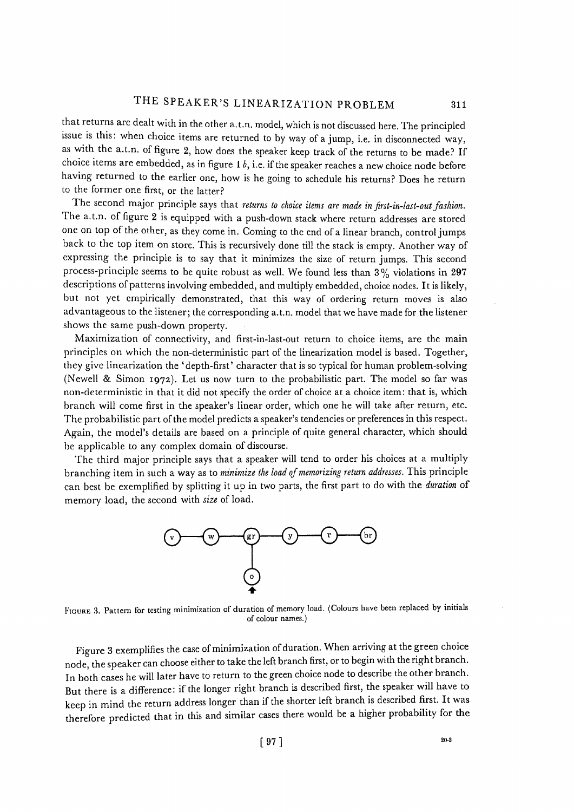that returns are dealt with in the other a.t.n. model, which is not discussed here. The principled issue is this: when choice items are returned to by way of a jump, i.e. in disconnected way, as with the a.t.n. of figure 2, how does the speaker keep track of the returns to be made? If choice items are embedded, as in figure 1 *b,* i.e. if the speaker reaches a new choice node before having returned to the earlier one, how is he going to schedule his returns? Does he return to the former one first, or the latter?

The second major principle says that *returns to choice items are made in first-in-last-out fashion.* The a.t.n. of figure 2 is equipped with a push-down stack where return addresses are stored one on top of the other, as they come in. Coming to the end of a linear branch, control jumps back to the top item on store. This is recursively done till the stack is empty. Another way of expressing the principle is to say that it minimizes the size of return jumps. This second process-principle seems to be quite robust as well. We found less than 3 % violations in 297 descriptions of patterns involving embedded, and multiply embedded, choice nodes. It is likely, but not yet empirically demonstrated, that this way of ordering return moves is also advantageous to the listener; the corresponding a.t.n. model that we have made for the listener shows the same push-down property.

Maximization of connectivity, and first-in-last-out return to choice items, are the main principles on which the non-deterministic part of the linearization model is based. Together, they give linearization the ' depth-first' character that is so typical for human problem-solving (Newell & Simon 1972). Let us now turn to the probabilistic part. The model so far was non-deterministic in that it did not specify the order of choice at a choice item: that is, which branch will come first in the speaker's linear order, which one he will take after return, etc. The probabilistic part of the model predicts a speaker's tendencies or preferences in this respect. Again, the model's details are based on a principle of quite general character, which should be applicable to any complex domain of discourse.

The third major principle says that a speaker will tend to order his choices at a multiply branching item in such a way as to *minimize the load of memorizing return addresses*. This principle can best be exemplified by splitting it up in two parts, the first part to do with the *duration* of memory load, the second with *size* of load.



FIGURE 3. Pattern for testing minimization of duration of memory load. (Colours have been replaced by initials of colour names.)

Figure 3 exemplifies the case of minimization of duration. When arriving at the green choice node, the speaker can choose either to take the left branch first, or to begin with the right branch. In both cases he will later have to return to the green choice node to describe the other branch. But there is a difference: if the longer right branch is described first, the speaker will have to keep in mind the return address longer than if the shorter left branch is described first. It was therefore predicted that in this and similar cases there would be a higher probability for the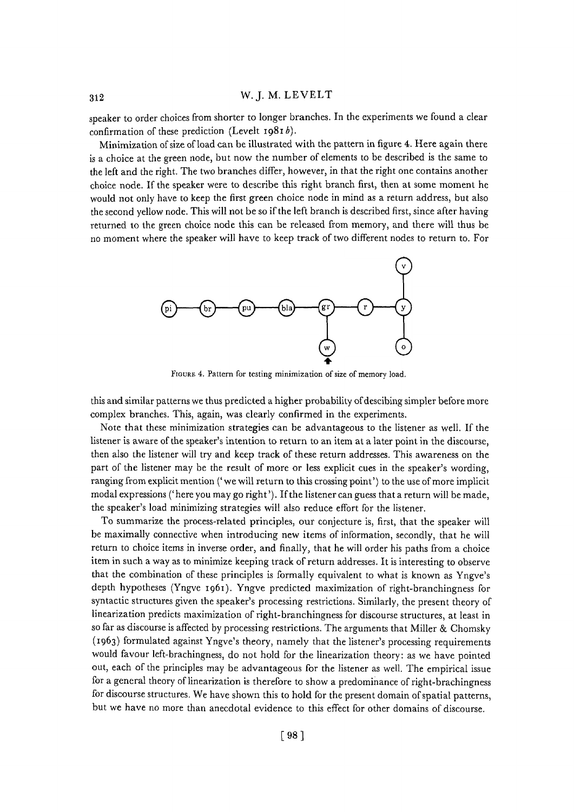312 W. J. M. LEVELT

speaker to order choices from shorter to longer branches. In the experiments we found a clear confirmation of these prediction (Levelt  $1981b$ ).

Minimization of size of load can be illustrated with the pattern in figure 4. Here again there is a choice at the green node, but now the num ber of elements to be described is the same to the left and the right. The two branches differ, however, in that the right one contains another choice node. If the speaker were to describe this right branch first, then at some moment he would not only have to keep the first green choice node in mind as a return address, but also the second yellow node. This will not be so if the left branch is described first, since after having returned to the green choice node this can be released from memory, and there will thus be no moment where the speaker will have to keep track of two different nodes to return to. For



FIGURE 4. Pattern for testing minimization of size of memory load.

this and similar patterns we thus predicted a higher probability ofdescibing simpler before more complex branches. This, again, was clearly confirmed in the experiments.

Note that these minimization strategies can be advantageous to the listener as well. If the listener is aware of the speaker's intention to return to an item at a later point in the discourse, then also the listener will try and keep track of these return addresses. This awareness on the part of the listener may be the result of more or less explicit cues in the speaker's wording, ranging from explicit mention (' we will return to this crossing point') to the use of more implicit modal expressions (' here you may go right '). If the listener can guess that a return will be made, the speaker's load minimizing strategies will also reduce effort for the listener.

To summarize the process-related principles, our conjecture is, first, that the speaker will be maximally connective when introducing new items of information, secondly, that he will return to choice items in inverse order, and finally, that he will order his paths from a choice item in such a way as to minimize keeping track of return addresses. It is interesting to observe that the combination of these principles is formally equivalent to what is known as Yngve's depth hypotheses (Yngve 1961). Y ngve predicted maximization of right-branchingness for syntactic structures given the speaker's processing restrictions. Similarly, the present theory of linearization predicts maximization of right-branchingness for discourse structures, at least in so far as discourse is affected by processing restrictions. The arguments that Miller & Chomsky (1963) formulated against Yngve's theory, nam ely that the listener's processing requirements would favour left-brachingness, do not hold for the linearization theory: as we have pointed out, each of the principles may be advantageous for the listener as well. The empirical issue for a general theory of linearization is therefore to show a predominance of right-brachingness for discourse structures. We have shown this to hold for the present domain of spatial patterns, but we have no more than anecdotal evidence to this effect for other domains of discourse.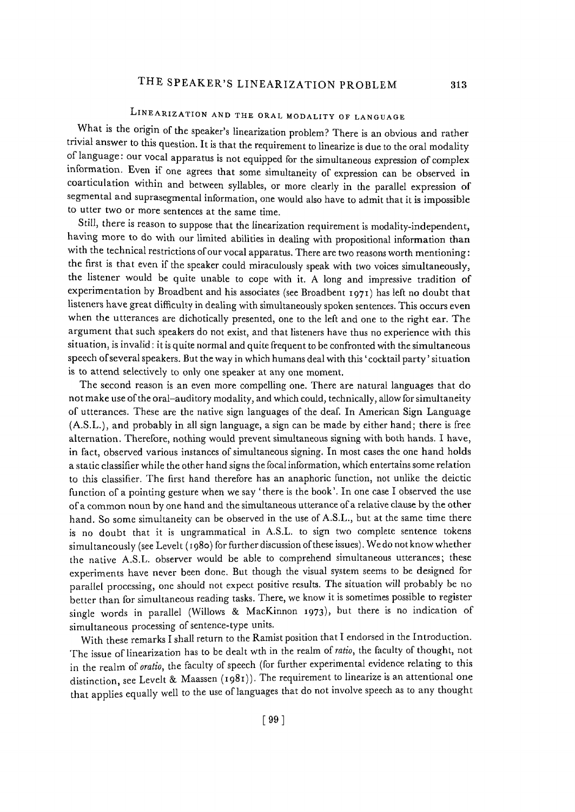# THE SPEAKER'S LINEARIZATION PROBLEM 313

# LINEARIZATION AND THE ORAL MODALITY OF LANGUAGE

What is the origin of the speaker's linearization problem? There is an obvious and rather trivial answer to this question. It is that the requirement to linearize is due to the oral m odality of language: our vocal apparatus is not equipped for the simultaneous expression of complex information. Even if one agrees that some simultaneity of expression can be observed in coarticulation within and between syllables, or more clearly in the parallel expression of segmental and suprasegmental information, one would also have to admit that it is impossible to utter two or more sentences at the same time.

Still, there is reason to suppose that the linearization requirement is modality-independent, having more to do with our limited abilities in dealing with propositional information than with the technical restrictions of our vocal apparatus. There are two reasons worth mentioning: the first is that even if the speaker could miraculously speak with two voices simultaneously, the listener would be quite unable to cope with it. A long and impressive tradition of experimentation by Broadbent and his associates (see Broadbent 1971) has left no doubt that listeners have great difficulty in dealing with simultaneously spoken sentences. This occurs even when the utterances are dichotically presented, one to the left and one to the right ear. The argument that such speakers do not exist, and that listeners have thus no experience with this situation, is invalid: it is quite normal and quite frequent to be confronted with the simultaneous speech of several speakers. But the way in which humans deal with this 'cocktail party' situation is to attend selectively to only one speaker at any one moment.

The second reason is an even more compelling one. There are natural languages that do not make use of the oral-auditory modality, and which could, technically, allow for simultaneity of utterances. These are the native sign languages of the deaf. In American Sign Language (A .S .L .), and probably in all sign language, a sign can be made by either hand; there is free alternation. Therefore, nothing would prevent simultaneous signing with both hands. I have, in fact, observed various instances of simultaneous signing. In most cases the one hand holds a static classifier while the other hand signs the focal information, which entertains some relation to this classifier. The first hand therefore has an anaphoric function, not unlike the deictic function of a pointing gesture when we say 'there is the book'. In one case I observed the use of a common noun by one hand and the simultaneous utterance of a relative clause by the other hand. So some simultaneity can be observed in the use of A.S.L., but at the same time there is no doubt that it is ungrammatical in A.S.L. to sign two complete sentence tokens simultaneously (see Levelt (1980) for further discussion of these issues). We do not know whether the native A.S.L. observer would be able to comprehend simultaneous utterances; these experiments have never been done. But though the visual system seems to be designed for parallel processing, one should not expect positive results. The situation will probably be no better than for simultaneous reading tasks. There, we know it is sometimes possible to register single words in parallel (Willows & MacKinnon 1973), but there is no indication of simultaneous processing of sentence-type units.

With these remarks I shall return to the Ramist position that I endorsed in the Introduction. The issue of linearization has to be dealt wth in the realm of *ratio*, the faculty of thought, not in the realm of *oratio*, the faculty of speech (for further experimental evidence relating to this distinction, see Levelt & Maassen (1981)). The requirement to linearize is an attentional one that applies equally well to the use of languages that do not involve speech as to any thought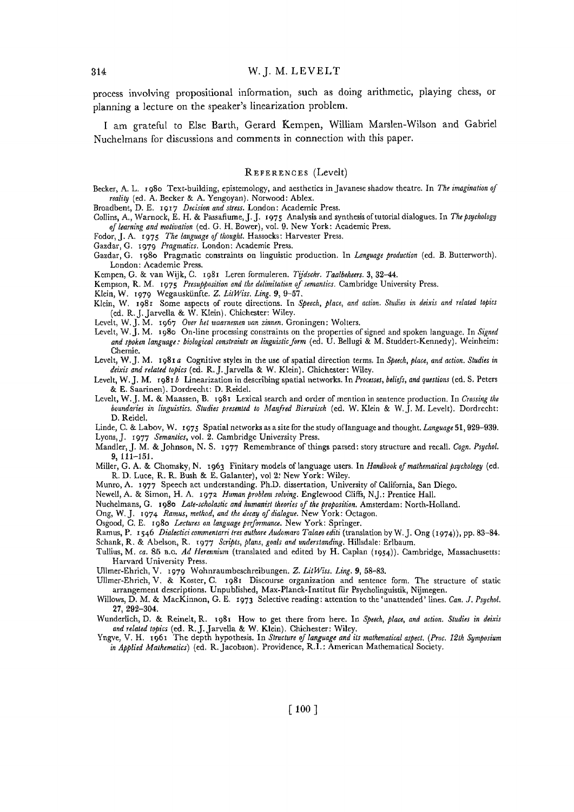process involving prepositional information, such as doing arithmetic, playing chess, or planning a lecture on the speaker's linearization problem.

I am grateful to Else Barth, Gerard Kempen, William Marslen-Wilson and Gabriel Nuchelmans for discussions and comments in connection with this paper.

#### REFERENCES (Levelt)

Becker, A. L. 1980 Text-building, epistemology, and aesthetics in Javanese shadow theatre. In *The imagination of reality* (ed. A. Becker & A . Yengoyan). Norwood: Ablex.

Broadbent, D. E. 1917 *Decision and stress*. London: Academic Press.

- Collins, A., Warnock, E. H, & Passafiume, J. J. 1975 Analysis and synthesis of tutorial dialogues. In *The psychology* of learning and motivation (ed. G. H. Bower), vol. 9. New York: Academic Press.
- Fodor, J. A. 1975 *The language of thought*. Hassocks: Harvester Press.
- Gazdar, G . 1979 *Pragmatics.* London: Academic Press.
- Gazdar, G . 1980 Pragm atic constraints on linguistic production. In *Language production* (ed. B. Butterworth). London: Academic Press,

Kempen, G. & van Wijk, C. 1981 Leren formuleren. Tijdschr. Taalbeheers. 3, 32-44.

Kempson, R. M. 1975 *Presupposition and the delimitation of semantics*. Cambridge University Press.

- Klein, W. 1979 Wegauskünfte. Z. LitWiss. Ling. 9, 9-57.
- Klein, W . 1981 Some aspects of route directions. In *Speech, place*, *and action. Studies in deixis and related topics* (ed. R. J. Jarvella & W. Klein). Chichester: Wiley.

Levelt, W. J. M. 1967 Over het waarnemen van zinnen. Groningen: Wolters.

- Levelt, W . J. M . 1980 On-line processing constraints on the properties of signed and spoken language. In *Signed and spoken language: biological constraints on linguistic form* (ed, U. Bellugi & M. Studdert-Kennedy), Weinheim: Chemie.
- Levelt, W . J. M . 1981 *a* Cognitive styles in the use of spatial direction terms. In *Speech, place, and action. Studies in deixis and related topics* (ed. R. J. Jarvella & W. Klein). Chichester: Wiley.
- Levelt, W . J. M. 1981 *b* Linearization in describing spatial networks. In *Processes, beliefs, and questions* (ed. S. Peters & E. Saarinen). Dordrecht: D. Reidel.
- Levelt, W . J. M . & Maassen, B. 1981 Lexical search and order of mention in sentence production. In *Crossing the boundaries in linguistics. Studies presented to Manfred Bierwisch* (cd. W. Klein & W, J. M. Levelt). Dordrecht: D. Reidel,

Linde, C. & Labov, W. 1975 Spatial networks as a site for the study of language and thought. *Language* 51, 929-939. Lyons, J. 1977 *Semantics,* vol. 2. Cambridge University Press.

- Mandler, J. M. & Johnson, N. S. 1977 Remembrance of things parsed: story structure and recall. *Cogn. Psychol.*  $9, 111 - 151.$
- Miller, G. A. & Chomsky, N. 1963 Finitary models of language users. In *Handbook of mathematical psychology* (ed. R. D. Luce, R. R. Bush & E. Galanter), vol 2. New York: Wiley.

Munro, A . 1977 Speech act understanding. Ph.D. dissertation, University of California, San Diego.

- Newell, A . & Simon, H. A, 1972 *Human problem solving.* Englewood Cliffs, N.J.: Prentice Hall.
- Nuchelmans, G. 1980 Late-scholastic and humanist theories of the proposition. Amsterdam: North-Holland.
- Ong, W. J. 1974 Ramus, method, and the decay of dialogue. New York: Octagon.
- Osgood, C. E. 1980 *Lectures on language performance.* New York: Springer.
- Ramus, P. 1546 *Dialectici commentarri tres authore Audomaro Talaeo editi* (translation by W. J. Ong (1974)), pp. 83-84.
- Schank, R . & Abelson, R, 1977 *Scripts, plans, goals and understanding,* Hillsdale: Erlbaum.
- Tullius, M. ca. 85 B.C. *Ad Herennium* (translated and edited by H. Caplan (1954)). Cambridge, Massachusetts: Harvard University Press.

Ullmer-Ehrich, V. 1979 Wohnraumbeschreibungen, Z. LitWiss. Ling. 9, 58-83.

- Ullmcr-Ehrich, V . & Koster, C. 1981 Discourse organization and sentence form. The structure of static arrangement descriptions. Unpublished, Max-Planck-Institut für Psycholinguistik, Nijmegen.
- Willows, D. M. & MacKinnon, G. E. 1973 Selective reading: attention to the 'unattended' lines. *Can. J. Psychol.* 27, 292- 304.
- Wunderlich, D. & Reinelt, R. 1981 How to get there from here. In Speech, place, and action. Studies in deixis and related topics (ed. R. J. Jarvella & W. Klein). Chichester: Wiley.
- Yngve, V. H. 1961 The depth hypothesis. In Structure of language and its mathematical aspect. (Proc. 12th Symposium *in Applied Mathematics*) (ed. R. Jacobson). Providence, R .I.: American Mathematical Society.